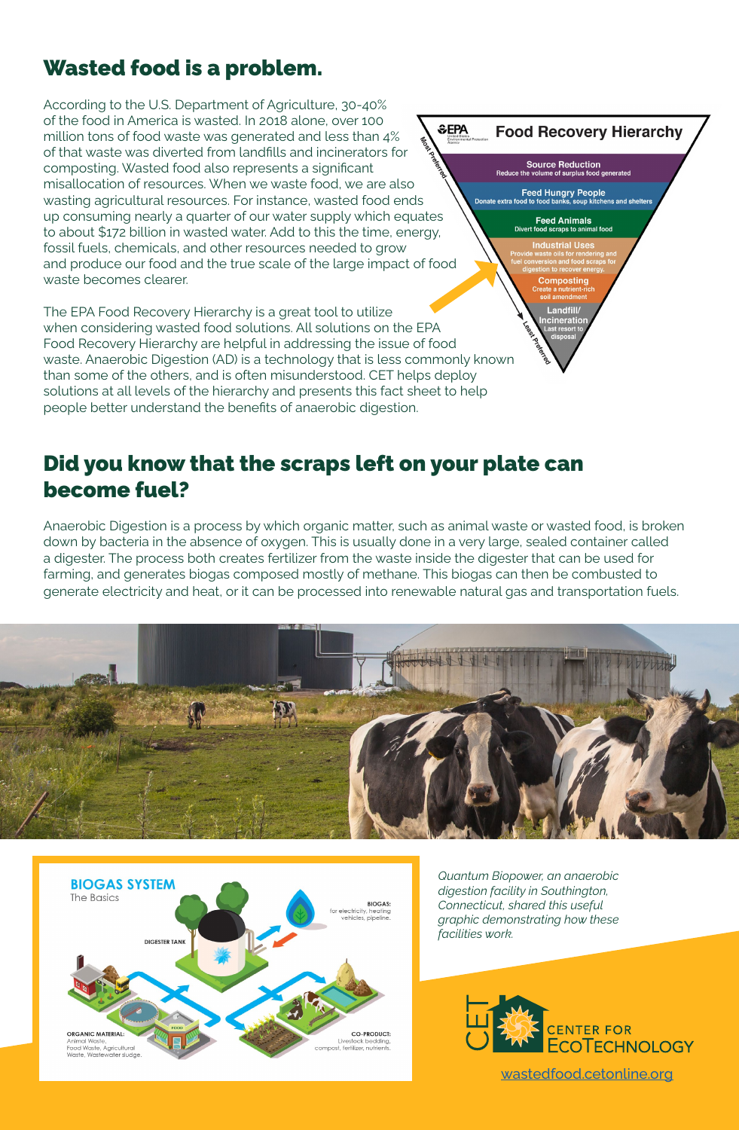# Wasted food is a problem.

According to the U.S. Department of Agriculture, 30-40% of the food in America is wasted. In 2018 alone, over 100 million tons of food waste was generated and less than 4% of that waste was diverted from landfills and incinerators for composting. Wasted food also represents a significant misallocation of resources. When we waste food, we are also wasting agricultural resources. For instance, wasted food ends up consuming nearly a quarter of our water supply which equates to about \$172 billion in wasted water. Add to this the time, energy, fossil fuels, chemicals, and other resources needed to grow and produce our food and the true scale of the large impact of food waste becomes clearer.

The EPA Food Recovery Hierarchy is a great tool to utilize when considering wasted food solutions. All solutions on the EPA Food Recovery Hierarchy are helpful in addressing the issue of food waste. Anaerobic Digestion (AD) is a technology that is less commonly known than some of the others, and is often misunderstood. CET helps deploy solutions at all levels of the hierarchy and presents this fact sheet to help people better understand the benefits of anaerobic digestion.

## Did you know that the scraps left on your plate can become fuel?

Anaerobic Digestion is a process by which organic matter, such as animal waste or wasted food, is broken down by bacteria in the absence of oxygen. This is usually done in a very large, sealed container called a digester. The process both creates fertilizer from the waste inside the digester that can be used for farming, and generates biogas composed mostly of methane. This biogas can then be combusted to generate electricity and heat, or it can be processed into renewable natural gas and transportation fuels.





*Quantum Biopower, an anaerobic digestion facility in Southington, Connecticut, shared this useful graphic demonstrating how these facilities work.* 



[wastedfood.cetonline.org](http://wastedfood.cetonline.org)

**SEPA Food Recovery Hierarchy Source Reduction Feed Hungry People** ns and shelters Feed Animals  $\sim$ **Industrial Use Composting** Landfill/ ncineratio